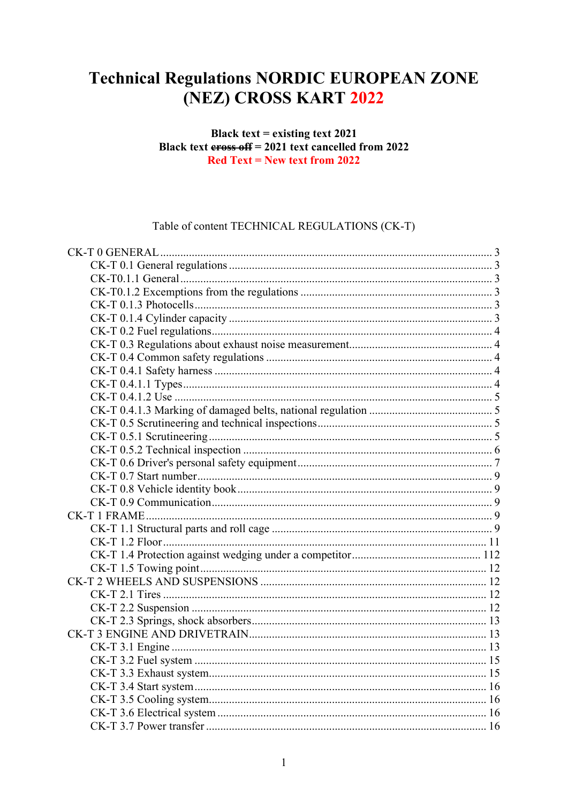## **Technical Regulations NORDIC EUROPEAN ZONE** (NEZ) CROSS KART 2022

#### Black text = existing text  $2021$ Black text  $\frac{1}{100}$  errors of  $f = 2021$  text cancelled from 2022  $Red Text = New text from 2022$

Table of content TECHNICAL REGULATIONS (CK-T)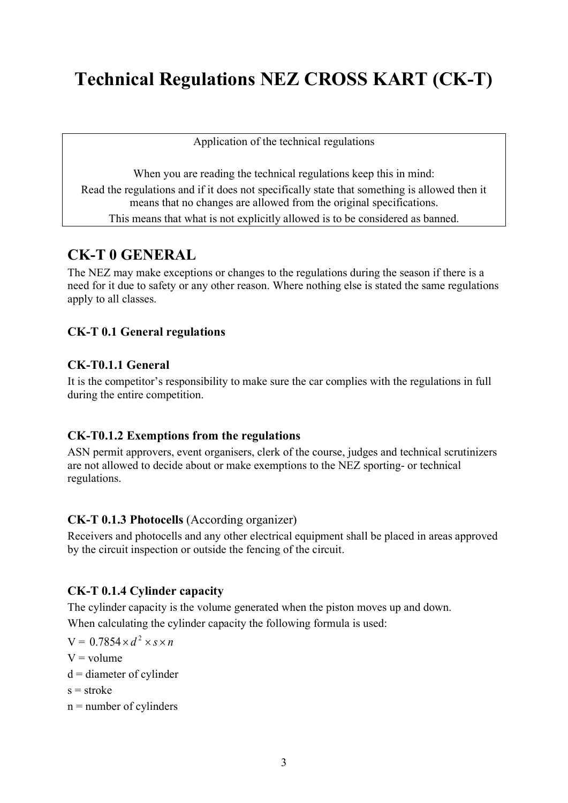# **Technical Regulations NEZ CROSS KART (CK-T)**

Application of the technical regulations

When you are reading the technical regulations keep this in mind: Read the regulations and if it does not specifically state that something is allowed then it means that no changes are allowed from the original specifications. This means that what is not explicitly allowed is to be considered as banned.

## <span id="page-2-0"></span>**CK-T 0 GENERAL**

The NEZ may make exceptions or changes to the regulations during the season if there is a need for it due to safety or any other reason. Where nothing else is stated the same regulations apply to all classes.

## <span id="page-2-1"></span>**CK-T 0.1 General regulations**

## <span id="page-2-2"></span>**CK-T0.1.1 General**

It is the competitor's responsibility to make sure the car complies with the regulations in full during the entire competition.

## <span id="page-2-3"></span>**CK-T0.1.2 Exemptions from the regulations**

ASN permit approvers, event organisers, clerk of the course, judges and technical scrutinizers are not allowed to decide about or make exemptions to the NEZ sporting- or technical regulations.

## <span id="page-2-4"></span>**CK-T 0.1.3 Photocells** (According organizer)

Receivers and photocells and any other electrical equipment shall be placed in areas approved by the circuit inspection or outside the fencing of the circuit.

## <span id="page-2-5"></span>**CK-T 0.1.4 Cylinder capacity**

The cylinder capacity is the volume generated when the piston moves up and down. When calculating the cylinder capacity the following formula is used:

$$
V = 0.7854 \times d^2 \times s \times n
$$
  
V = volume  

$$
d = \text{discrete of cylinder}
$$

 $d =$  diameter of cylinder

 $s =$ stroke

 $n =$  number of cylinders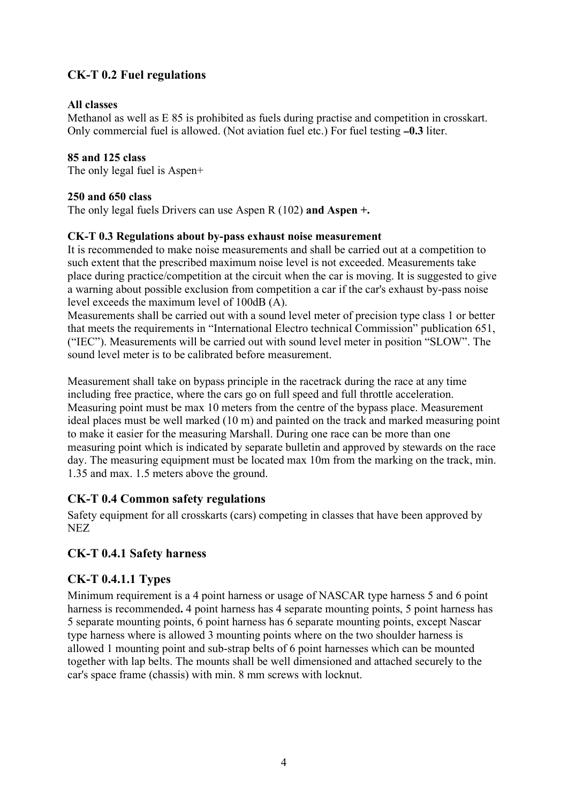## <span id="page-3-0"></span>**CK-T 0.2 Fuel regulations**

#### **All classes**

Methanol as well as E 85 is prohibited as fuels during practise and competition in crosskart. Only commercial fuel is allowed. (Not aviation fuel etc.) For fuel testing **0.3** liter.

### **85 and 125 class**

The only legal fuel is Aspen+

#### **250 and 650 class**

The only legal fuels Drivers can use Aspen R (102) **and Aspen +.**

#### <span id="page-3-1"></span>**CK-T 0.3 Regulations about by-pass exhaust noise measurement**

It is recommended to make noise measurements and shall be carried out at a competition to such extent that the prescribed maximum noise level is not exceeded. Measurements take place during practice/competition at the circuit when the car is moving. It is suggested to give a warning about possible exclusion from competition a car if the car's exhaust by-pass noise level exceeds the maximum level of 100dB (A).

Measurements shall be carried out with a sound level meter of precision type class 1 or better that meets the requirements in "International Electro technical Commission" publication 651, ("IEC"). Measurements will be carried out with sound level meter in position "SLOW". The sound level meter is to be calibrated before measurement.

Measurement shall take on bypass principle in the racetrack during the race at any time including free practice, where the cars go on full speed and full throttle acceleration. Measuring point must be max 10 meters from the centre of the bypass place. Measurement ideal places must be well marked (10 m) and painted on the track and marked measuring point to make it easier for the measuring Marshall. During one race can be more than one measuring point which is indicated by separate bulletin and approved by stewards on the race day. The measuring equipment must be located max 10m from the marking on the track, min. 1.35 and max. 1.5 meters above the ground.

## <span id="page-3-2"></span>**CK-T 0.4 Common safety regulations**

Safety equipment for all crosskarts (cars) competing in classes that have been approved by NEZ

## **CK-T 0.4.1 Safety harness**

## **CK-T 0.4.1.1 Types**

Minimum requirement is a 4 point harness or usage of NASCAR type harness 5 and 6 point harness is recommended**.** 4 point harness has 4 separate mounting points, 5 point harness has 5 separate mounting points, 6 point harness has 6 separate mounting points, except Nascar type harness where is allowed 3 mounting points where on the two shoulder harness is allowed 1 mounting point and sub-strap belts of 6 point harnesses which can be mounted together with lap belts. The mounts shall be well dimensioned and attached securely to the car's space frame (chassis) with min. 8 mm screws with locknut.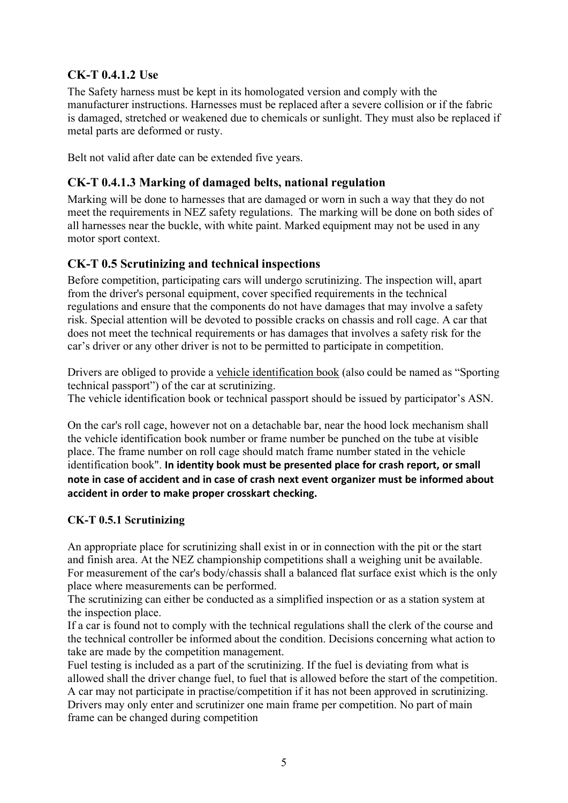## <span id="page-4-0"></span>**CK-T 0.4.1.2 Use**

The Safety harness must be kept in its homologated version and comply with the manufacturer instructions. Harnesses must be replaced after a severe collision or if the fabric is damaged, stretched or weakened due to chemicals or sunlight. They must also be replaced if metal parts are deformed or rusty.

Belt not valid after date can be extended five years.

## <span id="page-4-1"></span>**CK-T 0.4.1.3 Marking of damaged belts, national regulation**

Marking will be done to harnesses that are damaged or worn in such a way that they do not meet the requirements in NEZ safety regulations. The marking will be done on both sides of all harnesses near the buckle, with white paint. Marked equipment may not be used in any motor sport context.

## <span id="page-4-2"></span>**CK-T 0.5 Scrutinizing and technical inspections**

Before competition, participating cars will undergo scrutinizing. The inspection will, apart from the driver's personal equipment, cover specified requirements in the technical regulations and ensure that the components do not have damages that may involve a safety risk. Special attention will be devoted to possible cracks on chassis and roll cage. A car that does not meet the technical requirements or has damages that involves a safety risk for the car's driver or any other driver is not to be permitted to participate in competition.

Drivers are obliged to provide a vehicle identification book (also could be named as "Sporting technical passport") of the car at scrutinizing.

The vehicle identification book or technical passport should be issued by participator's ASN.

<span id="page-4-3"></span>On the car's roll cage, however not on a detachable bar, near the hood lock mechanism shall the vehicle identification book number or frame number be punched on the tube at visible place. The frame number on roll cage should match frame number stated in the vehicle identification book". **In identity book must be presented place for crash report, or small note in case of accident and in case of crash next event organizer must be informed about accident in order to make proper crosskart checking.**

## **CK-T 0.5.1 Scrutinizing**

An appropriate place for scrutinizing shall exist in or in connection with the pit or the start and finish area. At the NEZ championship competitions shall a weighing unit be available. For measurement of the car's body/chassis shall a balanced flat surface exist which is the only place where measurements can be performed.

The scrutinizing can either be conducted as a simplified inspection or as a station system at the inspection place.

If a car is found not to comply with the technical regulations shall the clerk of the course and the technical controller be informed about the condition. Decisions concerning what action to take are made by the competition management.

Fuel testing is included as a part of the scrutinizing. If the fuel is deviating from what is allowed shall the driver change fuel, to fuel that is allowed before the start of the competition. A car may not participate in practise/competition if it has not been approved in scrutinizing. Drivers may only enter and scrutinizer one main frame per competition. No part of main frame can be changed during competition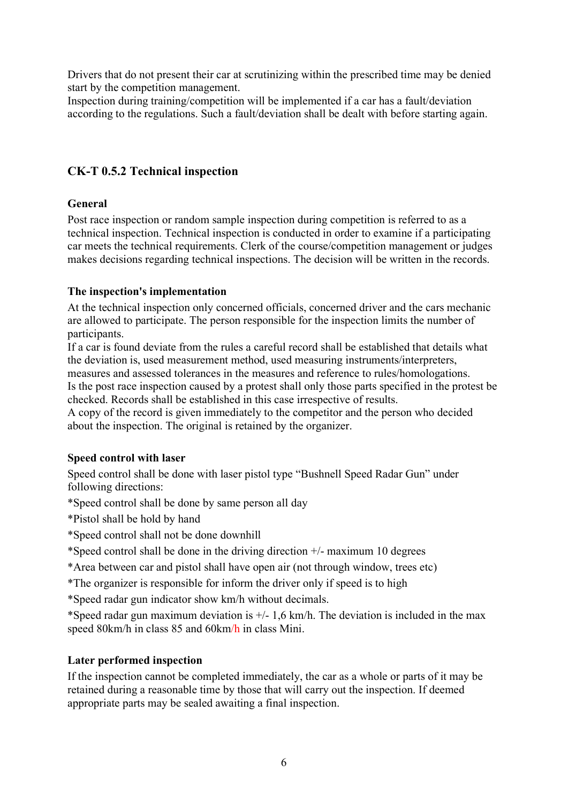Drivers that do not present their car at scrutinizing within the prescribed time may be denied start by the competition management.

Inspection during training/competition will be implemented if a car has a fault/deviation according to the regulations. Such a fault/deviation shall be dealt with before starting again.

## <span id="page-5-0"></span>**CK-T 0.5.2 Technical inspection**

#### **General**

Post race inspection or random sample inspection during competition is referred to as a technical inspection. Technical inspection is conducted in order to examine if a participating car meets the technical requirements. Clerk of the course/competition management or judges makes decisions regarding technical inspections. The decision will be written in the records.

#### **The inspection's implementation**

At the technical inspection only concerned officials, concerned driver and the cars mechanic are allowed to participate. The person responsible for the inspection limits the number of participants.

If a car is found deviate from the rules a careful record shall be established that details what the deviation is, used measurement method, used measuring instruments/interpreters, measures and assessed tolerances in the measures and reference to rules/homologations. Is the post race inspection caused by a protest shall only those parts specified in the protest be

checked. Records shall be established in this case irrespective of results.

A copy of the record is given immediately to the competitor and the person who decided about the inspection. The original is retained by the organizer.

## **Speed control with laser**

Speed control shall be done with laser pistol type "Bushnell Speed Radar Gun" under following directions:

\*Speed control shall be done by same person all day

\*Pistol shall be hold by hand

\*Speed control shall not be done downhill

\*Speed control shall be done in the driving direction  $+/-$  maximum 10 degrees

\*Area between car and pistol shall have open air (not through window, trees etc)

\*The organizer is responsible for inform the driver only if speed is to high

\*Speed radar gun indicator show km/h without decimals.

\*Speed radar gun maximum deviation is  $+/-1.6$  km/h. The deviation is included in the max speed 80km/h in class 85 and 60km/h in class Mini.

## **Later performed inspection**

If the inspection cannot be completed immediately, the car as a whole or parts of it may be retained during a reasonable time by those that will carry out the inspection. If deemed appropriate parts may be sealed awaiting a final inspection.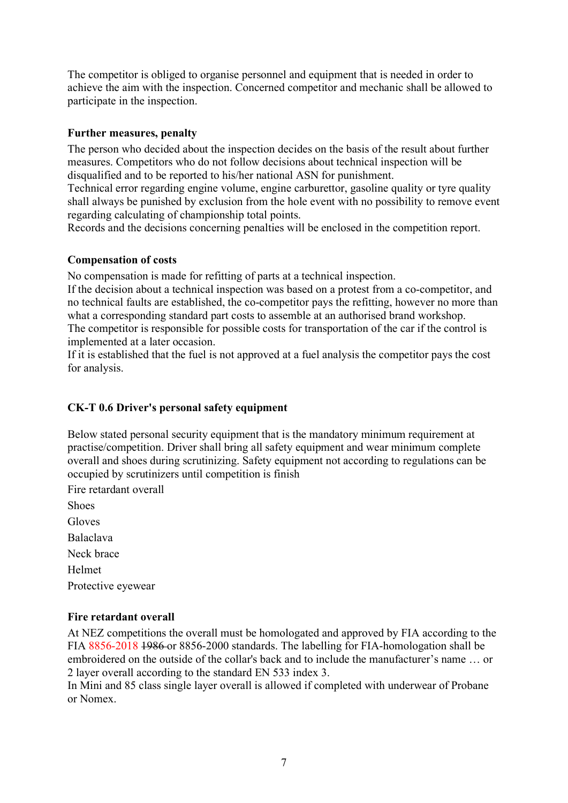The competitor is obliged to organise personnel and equipment that is needed in order to achieve the aim with the inspection. Concerned competitor and mechanic shall be allowed to participate in the inspection.

#### **Further measures, penalty**

The person who decided about the inspection decides on the basis of the result about further measures. Competitors who do not follow decisions about technical inspection will be disqualified and to be reported to his/her national ASN for punishment.

Technical error regarding engine volume, engine carburettor, gasoline quality or tyre quality shall always be punished by exclusion from the hole event with no possibility to remove event regarding calculating of championship total points.

Records and the decisions concerning penalties will be enclosed in the competition report.

#### **Compensation of costs**

No compensation is made for refitting of parts at a technical inspection.

If the decision about a technical inspection was based on a protest from a co-competitor, and no technical faults are established, the co-competitor pays the refitting, however no more than what a corresponding standard part costs to assemble at an authorised brand workshop. The competitor is responsible for possible costs for transportation of the car if the control is implemented at a later occasion.

<span id="page-6-0"></span>If it is established that the fuel is not approved at a fuel analysis the competitor pays the cost for analysis.

## **CK-T 0.6 Driver's personal safety equipment**

Below stated personal security equipment that is the mandatory minimum requirement at practise/competition. Driver shall bring all safety equipment and wear minimum complete overall and shoes during scrutinizing. Safety equipment not according to regulations can be occupied by scrutinizers until competition is finish

Fire retardant overall Shoes **Gloves** Balaclava Neck brace Helmet Protective eyewear

#### **Fire retardant overall**

At NEZ competitions the overall must be homologated and approved by FIA according to the FIA 8856-2018 1986 or 8856-2000 standards. The labelling for FIA-homologation shall be embroidered on the outside of the collar's back and to include the manufacturer's name … or 2 layer overall according to the standard EN 533 index 3.

In Mini and 85 class single layer overall is allowed if completed with underwear of Probane or Nomex.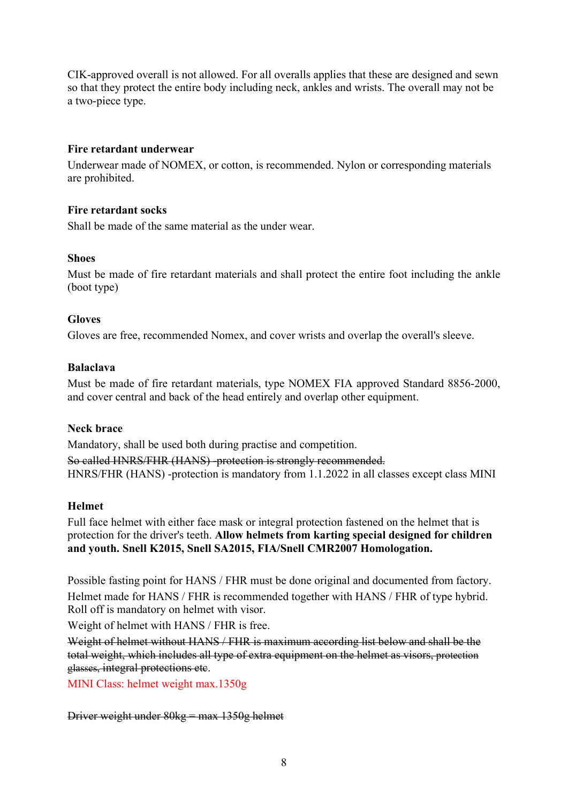CIK-approved overall is not allowed. For all overalls applies that these are designed and sewn so that they protect the entire body including neck, ankles and wrists. The overall may not be a two-piece type.

#### **Fire retardant underwear**

Underwear made of NOMEX, or cotton, is recommended. Nylon or corresponding materials are prohibited.

#### **Fire retardant socks**

Shall be made of the same material as the under wear.

#### **Shoes**

Must be made of fire retardant materials and shall protect the entire foot including the ankle (boot type)

#### **Gloves**

Gloves are free, recommended Nomex, and cover wrists and overlap the overall's sleeve.

#### **Balaclava**

Must be made of fire retardant materials, type NOMEX FIA approved Standard 8856-2000, and cover central and back of the head entirely and overlap other equipment.

#### **Neck brace**

Mandatory, shall be used both during practise and competition.

So called HNRS/FHR (HANS) -protection is strongly recommended. HNRS/FHR (HANS) -protection is mandatory from 1.1.2022 in all classes except class MINI

#### **Helmet**

Full face helmet with either face mask or integral protection fastened on the helmet that is protection for the driver's teeth. **Allow helmets from karting special designed for children and youth. Snell K2015, Snell SA2015, FIA/Snell CMR2007 Homologation.**

Possible fasting point for HANS / FHR must be done original and documented from factory. Helmet made for HANS / FHR is recommended together with HANS / FHR of type hybrid. Roll off is mandatory on helmet with visor.

Weight of helmet with HANS / FHR is free.

Weight of helmet without HANS / FHR is maximum according list below and shall be the total weight, which includes all type of extra equipment on the helmet as visors, protection glasses, integral protections etc.

MINI Class: helmet weight max.1350g

Driver weight under 80kg = max 1350g helmet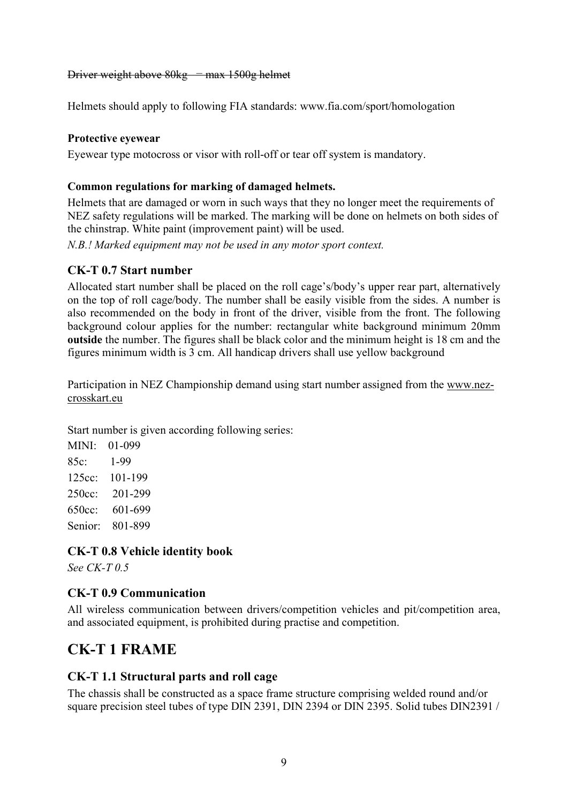#### Driver weight above  $80kg = \text{max } 1500g$  helmet

Helmets should apply to following FIA standards: www.fia.com/sport/homologation

#### **Protective eyewear**

Eyewear type motocross or visor with roll-off or tear off system is mandatory.

#### **Common regulations for marking of damaged helmets.**

Helmets that are damaged or worn in such ways that they no longer meet the requirements of NEZ safety regulations will be marked. The marking will be done on helmets on both sides of the chinstrap. White paint (improvement paint) will be used.

*N.B.! Marked equipment may not be used in any motor sport context.* 

#### <span id="page-8-0"></span>**CK-T 0.7 Start number**

Allocated start number shall be placed on the roll cage's/body's upper rear part, alternatively on the top of roll cage/body. The number shall be easily visible from the sides. A number is also recommended on the body in front of the driver, visible from the front. The following background colour applies for the number: rectangular white background minimum 20mm **outside** the number. The figures shall be black color and the minimum height is 18 cm and the figures minimum width is 3 cm. All handicap drivers shall use yellow background

Participation in NEZ Championship demand using start number assigned from the [www.nez](http://www.nez-crosskart.eu/)[crosskart.eu](http://www.nez-crosskart.eu/)

Start number is given according following series:

| MINI:     | 01-099  |
|-----------|---------|
| 85c:      | 1-99    |
| $125cc$ : | 101-199 |
| 250cc:    | 201-299 |
| 650cc:    | 601-699 |
| Senior:   | 801-899 |

#### <span id="page-8-1"></span>**CK-T 0.8 Vehicle identity book**

<span id="page-8-2"></span>*See CK-T 0.5*

## **CK-T 0.9 Communication**

<span id="page-8-3"></span>All wireless communication between drivers/competition vehicles and pit/competition area, and associated equipment, is prohibited during practise and competition.

## **CK-T 1 FRAME**

#### <span id="page-8-4"></span>**CK-T 1.1 Structural parts and roll cage**

The chassis shall be constructed as a space frame structure comprising welded round and/or square precision steel tubes of type DIN 2391, DIN 2394 or DIN 2395. Solid tubes DIN2391 /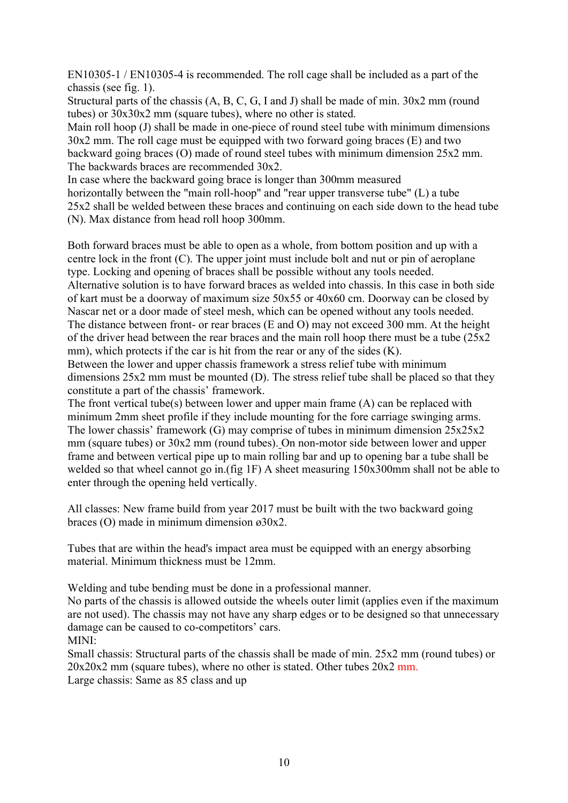EN10305-1 / EN10305-4 is recommended. The roll cage shall be included as a part of the chassis (see fig. 1).

Structural parts of the chassis (A, B, C, G, I and J) shall be made of min. 30x2 mm (round tubes) or 30x30x2 mm (square tubes), where no other is stated.

Main roll hoop (J) shall be made in one-piece of round steel tube with minimum dimensions 30x2 mm. The roll cage must be equipped with two forward going braces (E) and two backward going braces (O) made of round steel tubes with minimum dimension 25x2 mm. The backwards braces are recommended 30x2.

In case where the backward going brace is longer than 300mm measured horizontally between the "main roll-hoop" and "rear upper transverse tube" (L) a tube 25x2 shall be welded between these braces and continuing on each side down to the head tube

(N). Max distance from head roll hoop 300mm.

Both forward braces must be able to open as a whole, from bottom position and up with a centre lock in the front (C). The upper joint must include bolt and nut or pin of aeroplane type. Locking and opening of braces shall be possible without any tools needed. Alternative solution is to have forward braces as welded into chassis. In this case in both side of kart must be a doorway of maximum size 50x55 or 40x60 cm. Doorway can be closed by Nascar net or a door made of steel mesh, which can be opened without any tools needed. The distance between front- or rear braces (E and O) may not exceed 300 mm. At the height of the driver head between the rear braces and the main roll hoop there must be a tube (25x2 mm), which protects if the car is hit from the rear or any of the sides (K).

Between the lower and upper chassis framework a stress relief tube with minimum dimensions 25x2 mm must be mounted (D). The stress relief tube shall be placed so that they constitute a part of the chassis' framework.

The front vertical tube(s) between lower and upper main frame (A) can be replaced with minimum 2mm sheet profile if they include mounting for the fore carriage swinging arms. The lower chassis' framework (G) may comprise of tubes in minimum dimension 25x25x2 mm (square tubes) or 30x2 mm (round tubes). On non-motor side between lower and upper frame and between vertical pipe up to main rolling bar and up to opening bar a tube shall be welded so that wheel cannot go in.(fig 1F) A sheet measuring 150x300mm shall not be able to enter through the opening held vertically.

All classes: New frame build from year 2017 must be built with the two backward going braces (O) made in minimum dimension ø30x2.

Tubes that are within the head's impact area must be equipped with an energy absorbing material. Minimum thickness must be 12mm.

Welding and tube bending must be done in a professional manner.

No parts of the chassis is allowed outside the wheels outer limit (applies even if the maximum are not used). The chassis may not have any sharp edges or to be designed so that unnecessary damage can be caused to co-competitors' cars.

MINI:

Small chassis: Structural parts of the chassis shall be made of min. 25x2 mm (round tubes) or  $20x20x2$  mm (square tubes), where no other is stated. Other tubes  $20x2$  mm. Large chassis: Same as 85 class and up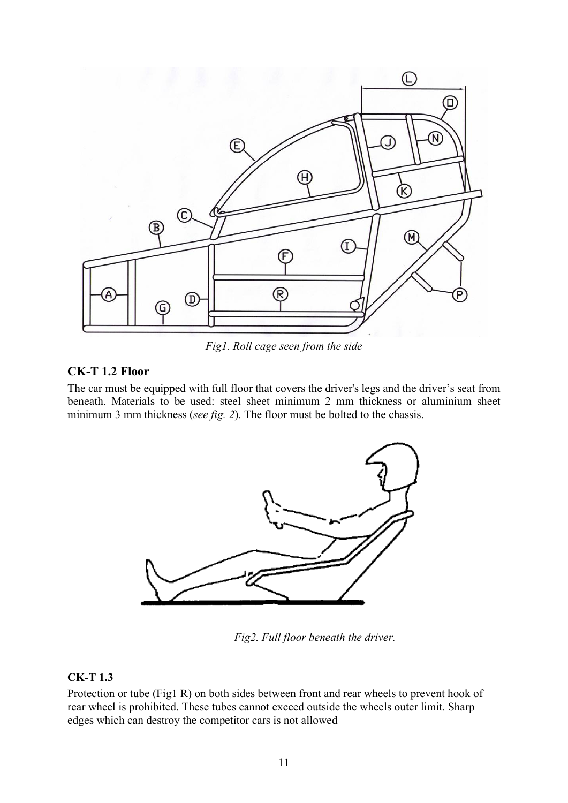

*Fig1. Roll cage seen from the side*

#### <span id="page-10-0"></span>**CK-T 1.2 Floor**

The car must be equipped with full floor that covers the driver's legs and the driver's seat from beneath. Materials to be used: steel sheet minimum 2 mm thickness or aluminium sheet minimum 3 mm thickness (*see fig. 2*). The floor must be bolted to the chassis.



*Fig2. Full floor beneath the driver.*

#### <span id="page-10-1"></span>**CK-T 1.3**

Protection or tube (Fig1 R) on both sides between front and rear wheels to prevent hook of rear wheel is prohibited. These tubes cannot exceed outside the wheels outer limit. Sharp edges which can destroy the competitor cars is not allowed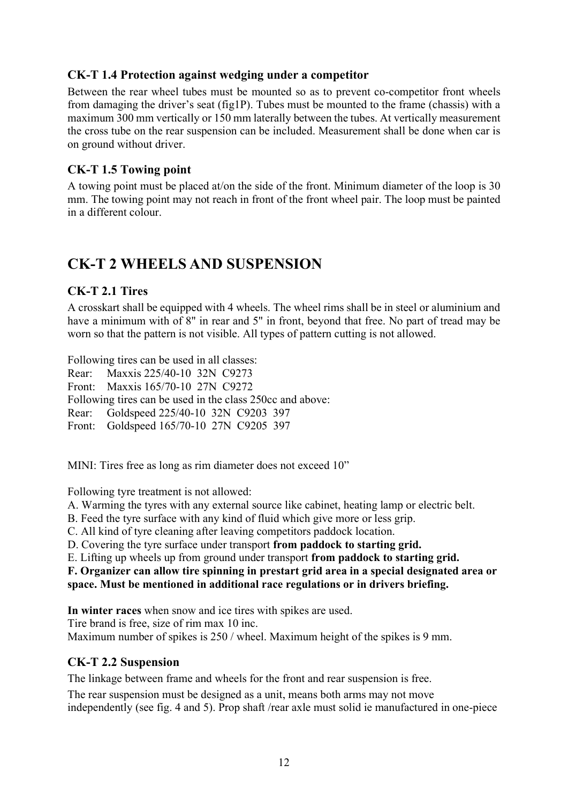## **CK-T 1.4 Protection against wedging under a competitor**

Between the rear wheel tubes must be mounted so as to prevent co-competitor front wheels from damaging the driver's seat (fig1P). Tubes must be mounted to the frame (chassis) with a maximum 300 mm vertically or 150 mm laterally between the tubes. At vertically measurement the cross tube on the rear suspension can be included. Measurement shall be done when car is on ground without driver.

## <span id="page-11-0"></span>**CK-T 1.5 Towing point**

A towing point must be placed at/on the side of the front. Minimum diameter of the loop is 30 mm. The towing point may not reach in front of the front wheel pair. The loop must be painted in a different colour.

## <span id="page-11-1"></span>**CK-T 2 WHEELS AND SUSPENSION**

## <span id="page-11-2"></span>**CK-T 2.1 Tires**

A crosskart shall be equipped with 4 wheels. The wheel rims shall be in steel or aluminium and have a minimum with of 8" in rear and 5" in front, beyond that free. No part of tread may be worn so that the pattern is not visible. All types of pattern cutting is not allowed.

Following tires can be used in all classes:

Rear: Maxxis 225/40-10 32N C9273 Front: Maxxis 165/70-10 27N C9272 Following tires can be used in the class 250cc and above: Rear: Goldspeed 225/40-10 32N C9203 397 Front: Goldspeed 165/70-10 27N C9205 397

MINI: Tires free as long as rim diameter does not exceed 10"

Following tyre treatment is not allowed:

A. Warming the tyres with any external source like cabinet, heating lamp or electric belt.

B. Feed the tyre surface with any kind of fluid which give more or less grip.

C. All kind of tyre cleaning after leaving competitors paddock location.

D. Covering the tyre surface under transport **from paddock to starting grid.**

E. Lifting up wheels up from ground under transport **from paddock to starting grid.**

#### **F. Organizer can allow tire spinning in prestart grid area in a special designated area or space. Must be mentioned in additional race regulations or in drivers briefing.**

**In winter races** when snow and ice tires with spikes are used.

Tire brand is free, size of rim max 10 inc.

<span id="page-11-3"></span>Maximum number of spikes is 250 / wheel. Maximum height of the spikes is 9 mm.

## **CK-T 2.2 Suspension**

The linkage between frame and wheels for the front and rear suspension is free.

The rear suspension must be designed as a unit, means both arms may not move independently (see fig. 4 and 5). Prop shaft /rear axle must solid ie manufactured in one-piece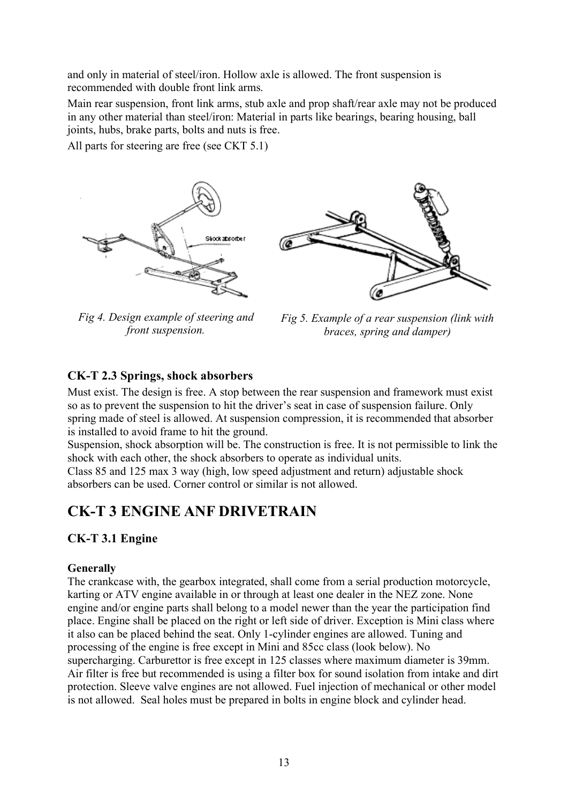and only in material of steel/iron. Hollow axle is allowed. The front suspension is recommended with double front link arms.

Main rear suspension, front link arms, stub axle and prop shaft/rear axle may not be produced in any other material than steel/iron: Material in parts like bearings, bearing housing, ball joints, hubs, brake parts, bolts and nuts is free.

All parts for steering are free (see CKT 5.1)



*Fig 4. Design example of steering and front suspension.* 



*Fig 5. Example of a rear suspension (link with braces, spring and damper)* 

#### <span id="page-12-0"></span>**CK-T 2.3 Springs, shock absorbers**

Must exist. The design is free. A stop between the rear suspension and framework must exist so as to prevent the suspension to hit the driver's seat in case of suspension failure. Only spring made of steel is allowed. At suspension compression, it is recommended that absorber is installed to avoid frame to hit the ground.

Suspension, shock absorption will be. The construction is free. It is not permissible to link the shock with each other, the shock absorbers to operate as individual units.

Class 85 and 125 max 3 way (high, low speed adjustment and return) adjustable shock absorbers can be used. Corner control or similar is not allowed.

## <span id="page-12-1"></span>**CK-T 3 ENGINE ANF DRIVETRAIN**

#### <span id="page-12-2"></span>**CK-T 3.1 Engine**

#### **Generally**

The crankcase with, the gearbox integrated, shall come from a serial production motorcycle, karting or ATV engine available in or through at least one dealer in the NEZ zone. None engine and/or engine parts shall belong to a model newer than the year the participation find place. Engine shall be placed on the right or left side of driver. Exception is Mini class where it also can be placed behind the seat. Only 1-cylinder engines are allowed. Tuning and processing of the engine is free except in Mini and 85cc class (look below). No supercharging. Carburettor is free except in 125 classes where maximum diameter is 39mm. Air filter is free but recommended is using a filter box for sound isolation from intake and dirt protection. Sleeve valve engines are not allowed. Fuel injection of mechanical or other model is not allowed. Seal holes must be prepared in bolts in engine block and cylinder head.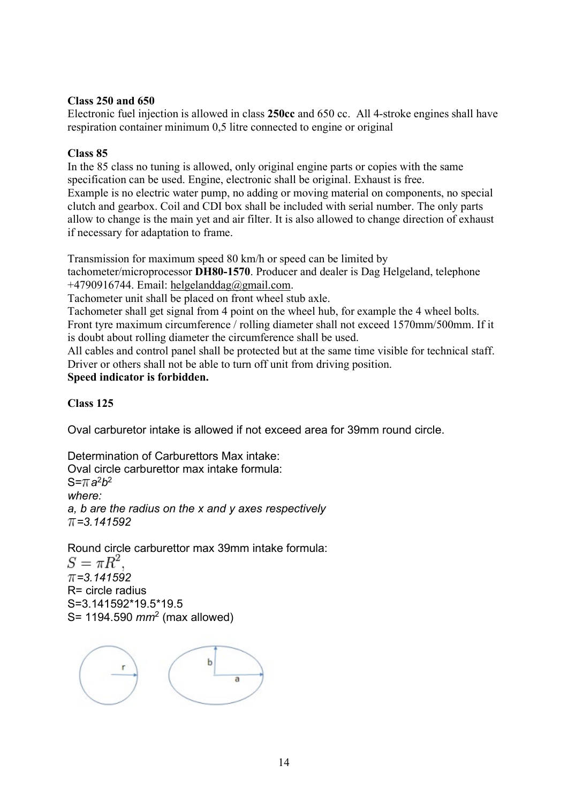#### **Class 250 and 650**

Electronic fuel injection is allowed in class **250cc** and 650 cc. All 4-stroke engines shall have respiration container minimum 0,5 litre connected to engine or original

#### **Class 85**

In the 85 class no tuning is allowed, only original engine parts or copies with the same specification can be used. Engine, electronic shall be original. Exhaust is free. Example is no electric water pump, no adding or moving material on components, no special clutch and gearbox. Coil and CDI box shall be included with serial number. The only parts allow to change is the main yet and air filter. It is also allowed to change direction of exhaust if necessary for adaptation to frame.

Transmission for maximum speed 80 km/h or speed can be limited by

tachometer/microprocessor **DH80-1570**. Producer and dealer is Dag Helgeland, telephone +4790916744. Email: [helgelanddag@gmail.com.](mailto:helgelanddag@gmail.com)

Tachometer unit shall be placed on front wheel stub axle.

Tachometer shall get signal from 4 point on the wheel hub, for example the 4 wheel bolts. Front tyre maximum circumference / rolling diameter shall not exceed 1570mm/500mm. If it is doubt about rolling diameter the circumference shall be used.

All cables and control panel shall be protected but at the same time visible for technical staff. Driver or others shall not be able to turn off unit from driving position.

## **Speed indicator is forbidden.**

#### **Class 125**

Oval carburetor intake is allowed if not exceed area for 39mm round circle.

Determination of Carburettors Max intake: Oval circle carburettor max intake formula:  $S = \pi a^2b^2$ *where: a, b are the radius on the x and y axes respectively =3.141592*

Round circle carburettor max 39mm intake formula:<br> $S = \pi R^2$ .

*=3.141592* R= circle radius S=3.141592\*19.5\*19.5 S= 1194.590 *mm*<sup>2</sup> (max allowed)

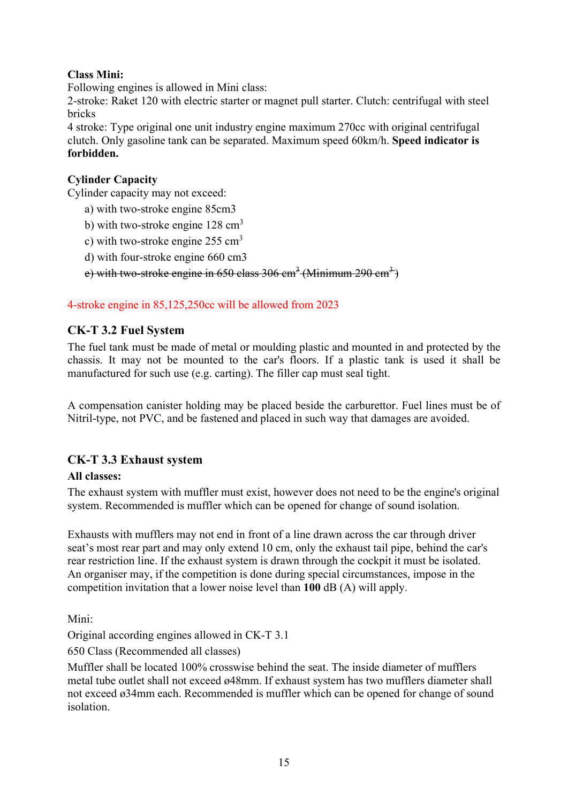## **Class Mini:**

Following engines is allowed in Mini class:

2-stroke: Raket 120 with electric starter or magnet pull starter. Clutch: centrifugal with steel bricks

4 stroke: Type original one unit industry engine maximum 270cc with original centrifugal clutch. Only gasoline tank can be separated. Maximum speed 60km/h. **Speed indicator is forbidden.**

### **Cylinder Capacity**

Cylinder capacity may not exceed:

- a) with two-stroke engine 85cm3
- b) with two-stroke engine  $128 \text{ cm}^3$
- c) with two-stroke engine  $255 \text{ cm}^3$
- <span id="page-14-0"></span>d) with four-stroke engine 660 cm3

e) with two-stroke engine in  $650$  class  $306 \text{ cm}^3$  (Minimum  $290 \text{ cm}^3$ )

#### 4-stroke engine in 85,125,250cc will be allowed from 2023

#### **CK-T 3.2 Fuel System**

The fuel tank must be made of metal or moulding plastic and mounted in and protected by the chassis. It may not be mounted to the car's floors. If a plastic tank is used it shall be manufactured for such use (e.g. carting). The filler cap must seal tight.

A compensation canister holding may be placed beside the carburettor. Fuel lines must be of Nitril-type, not PVC, and be fastened and placed in such way that damages are avoided.

## <span id="page-14-1"></span>**CK-T 3.3 Exhaust system**

#### **All classes:**

The exhaust system with muffler must exist, however does not need to be the engine's original system. Recommended is muffler which can be opened for change of sound isolation.

Exhausts with mufflers may not end in front of a line drawn across the car through driver seat's most rear part and may only extend 10 cm, only the exhaust tail pipe, behind the car's rear restriction line. If the exhaust system is drawn through the cockpit it must be isolated. An organiser may, if the competition is done during special circumstances, impose in the competition invitation that a lower noise level than **100** dB (A) will apply.

Mini:

Original according engines allowed in CK-T 3.1

650 Class (Recommended all classes)

Muffler shall be located 100% crosswise behind the seat. The inside diameter of mufflers metal tube outlet shall not exceed ø48mm. If exhaust system has two mufflers diameter shall not exceed ø34mm each. Recommended is muffler which can be opened for change of sound isolation.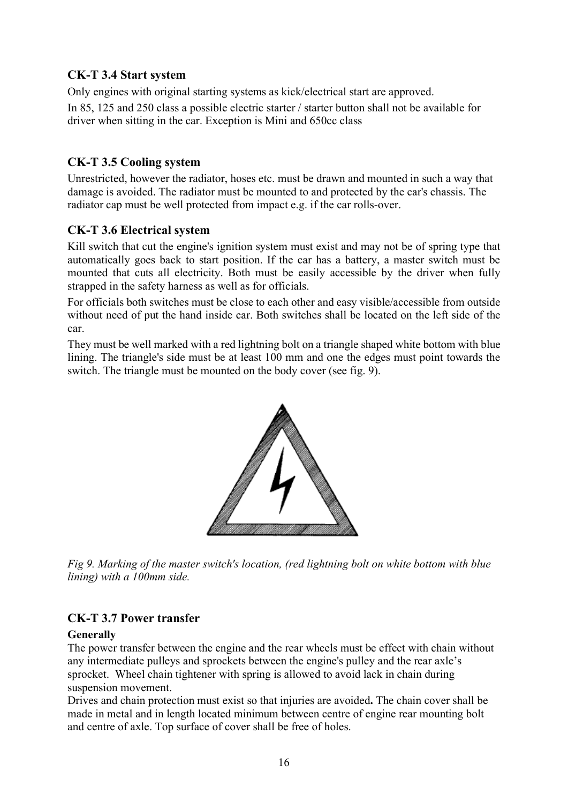## <span id="page-15-0"></span>**CK-T 3.4 Start system**

Only engines with original starting systems as kick/electrical start are approved.

In 85, 125 and 250 class a possible electric starter / starter button shall not be available for driver when sitting in the car. Exception is Mini and 650cc class

## <span id="page-15-1"></span>**CK-T 3.5 Cooling system**

Unrestricted, however the radiator, hoses etc. must be drawn and mounted in such a way that damage is avoided. The radiator must be mounted to and protected by the car's chassis. The radiator cap must be well protected from impact e.g. if the car rolls-over.

## <span id="page-15-2"></span>**CK-T 3.6 Electrical system**

Kill switch that cut the engine's ignition system must exist and may not be of spring type that automatically goes back to start position. If the car has a battery, a master switch must be mounted that cuts all electricity. Both must be easily accessible by the driver when fully strapped in the safety harness as well as for officials.

For officials both switches must be close to each other and easy visible/accessible from outside without need of put the hand inside car. Both switches shall be located on the left side of the car.

They must be well marked with a red lightning bolt on a triangle shaped white bottom with blue lining. The triangle's side must be at least 100 mm and one the edges must point towards the switch. The triangle must be mounted on the body cover (see fig. 9).



*Fig 9. Marking of the master switch's location, (red lightning bolt on white bottom with blue lining) with a 100mm side.*

## <span id="page-15-3"></span>**CK-T 3.7 Power transfer**

## **Generally**

The power transfer between the engine and the rear wheels must be effect with chain without any intermediate pulleys and sprockets between the engine's pulley and the rear axle's sprocket.Wheel chain tightener with spring is allowed to avoid lack in chain during suspension movement.

Drives and chain protection must exist so that injuries are avoided**.** The chain cover shall be made in metal and in length located minimum between centre of engine rear mounting bolt and centre of axle. Top surface of cover shall be free of holes.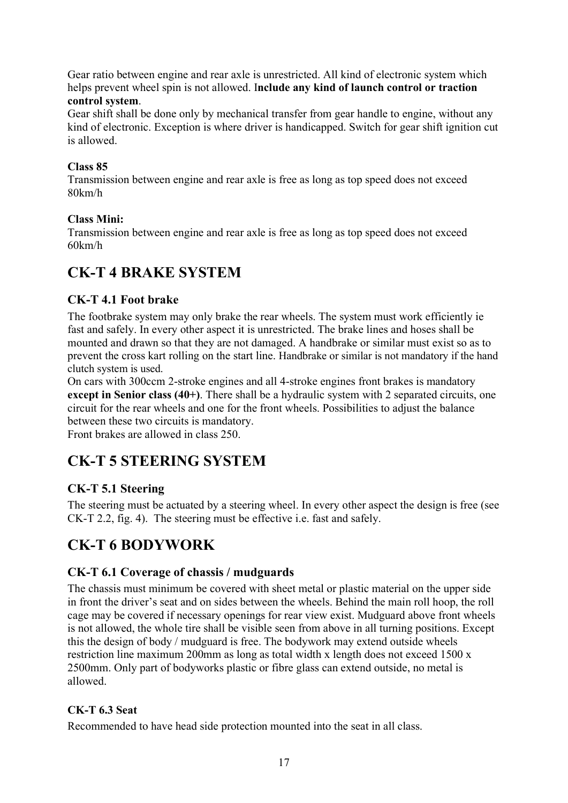Gear ratio between engine and rear axle is unrestricted. All kind of electronic system which helps prevent wheel spin is not allowed. I**nclude any kind of launch control or traction control system**.

Gear shift shall be done only by mechanical transfer from gear handle to engine, without any kind of electronic. Exception is where driver is handicapped. Switch for gear shift ignition cut is allowed.

## <span id="page-16-0"></span>**Class 85**

Transmission between engine and rear axle is free as long as top speed does not exceed 80km/h

## **Class Mini:**

Transmission between engine and rear axle is free as long as top speed does not exceed 60km/h

## **CK-T 4 BRAKE SYSTEM**

## <span id="page-16-1"></span>**CK-T 4.1 Foot brake**

The footbrake system may only brake the rear wheels. The system must work efficiently ie fast and safely. In every other aspect it is unrestricted. The brake lines and hoses shall be mounted and drawn so that they are not damaged. A handbrake or similar must exist so as to prevent the cross kart rolling on the start line. Handbrake or similar is not mandatory if the hand clutch system is used.

On cars with 300ccm 2-stroke engines and all 4-stroke engines front brakes is mandatory **except in Senior class (40+)**. There shall be a hydraulic system with 2 separated circuits, one circuit for the rear wheels and one for the front wheels. Possibilities to adjust the balance between these two circuits is mandatory.

<span id="page-16-2"></span>Front brakes are allowed in class 250.

## **CK-T 5 STEERING SYSTEM**

## <span id="page-16-3"></span>**CK-T 5.1 Steering**

The steering must be actuated by a steering wheel. In every other aspect the design is free (see CK-T 2.2, fig. 4). The steering must be effective i.e. fast and safely.

## <span id="page-16-4"></span>**CK-T 6 BODYWORK**

## <span id="page-16-5"></span>**CK-T 6.1 Coverage of chassis / mudguards**

The chassis must minimum be covered with sheet metal or plastic material on the upper side in front the driver's seat and on sides between the wheels. Behind the main roll hoop, the roll cage may be covered if necessary openings for rear view exist. Mudguard above front wheels is not allowed, the whole tire shall be visible seen from above in all turning positions. Except this the design of body / mudguard is free. The bodywork may extend outside wheels restriction line maximum 200mm as long as total width x length does not exceed 1500 x 2500mm. Only part of bodyworks plastic or fibre glass can extend outside, no metal is allowed.

## <span id="page-16-6"></span>**CK-T 6.3 Seat**

Recommended to have head side protection mounted into the seat in all class.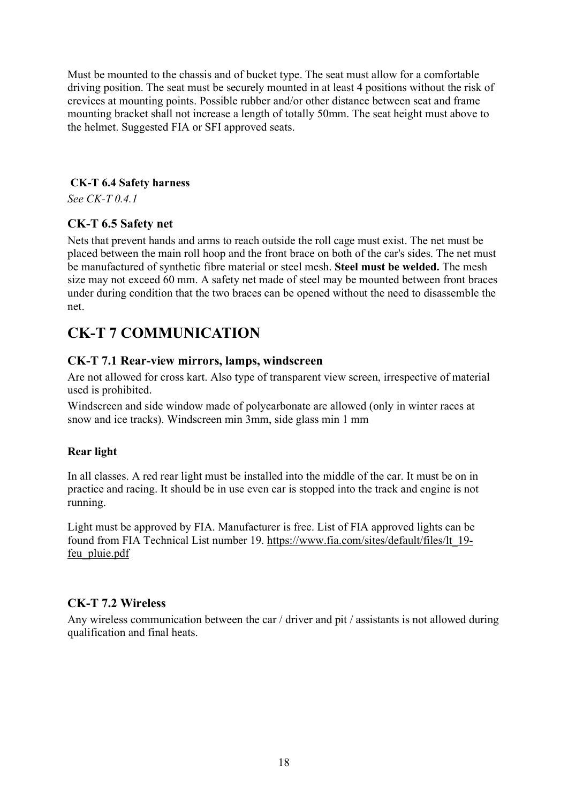Must be mounted to the chassis and of bucket type. The seat must allow for a comfortable driving position. The seat must be securely mounted in at least 4 positions without the risk of crevices at mounting points. Possible rubber and/or other distance between seat and frame mounting bracket shall not increase a length of totally 50mm. The seat height must above to the helmet. Suggested FIA or SFI approved seats.

#### <span id="page-17-0"></span>**CK-T 6.4 Safety harness**

*See CK-T 0.4.1*

## <span id="page-17-1"></span>**CK-T 6.5 Safety net**

Nets that prevent hands and arms to reach outside the roll cage must exist. The net must be placed between the main roll hoop and the front brace on both of the car's sides. The net must be manufactured of synthetic fibre material or steel mesh. **Steel must be welded.** The mesh size may not exceed 60 mm. A safety net made of steel may be mounted between front braces under during condition that the two braces can be opened without the need to disassemble the net.

## <span id="page-17-2"></span>**CK-T 7 COMMUNICATION**

## <span id="page-17-3"></span>**CK-T 7.1 Rear-view mirrors, lamps, windscreen**

Are not allowed for cross kart. Also type of transparent view screen, irrespective of material used is prohibited.

Windscreen and side window made of polycarbonate are allowed (only in winter races at snow and ice tracks). Windscreen min 3mm, side glass min 1 mm

## **Rear light**

In all classes. A red rear light must be installed into the middle of the car. It must be on in practice and racing. It should be in use even car is stopped into the track and engine is not running.

Light must be approved by FIA. Manufacturer is free. List of FIA approved lights can be found from FIA Technical List number 19. [https://www.fia.com/sites/default/files/lt\\_19](https://eur02.safelinks.protection.outlook.com/?url=https%3A%2F%2Fwww.fia.com%2Fsites%2Fdefault%2Ffiles%2Flt_19-feu_pluie.pdf&data=02%7C01%7Cheli.lahti-saloranta%40kone.com%7Cf696c19b9aeb46f5215a08d7524605e5%7C2bb82c642eb143f78862fdc1d2333b50%7C0%7C1%7C637068333011515079&sdata=fOiC3KO2W%2BEzCA1XmSg88v7ow2UvsSFvbiJcwn621Yw%3D&reserved=0) [feu\\_pluie.pdf](https://eur02.safelinks.protection.outlook.com/?url=https%3A%2F%2Fwww.fia.com%2Fsites%2Fdefault%2Ffiles%2Flt_19-feu_pluie.pdf&data=02%7C01%7Cheli.lahti-saloranta%40kone.com%7Cf696c19b9aeb46f5215a08d7524605e5%7C2bb82c642eb143f78862fdc1d2333b50%7C0%7C1%7C637068333011515079&sdata=fOiC3KO2W%2BEzCA1XmSg88v7ow2UvsSFvbiJcwn621Yw%3D&reserved=0)

## **CK-T 7.2 Wireless**

Any wireless communication between the car / driver and pit / assistants is not allowed during qualification and final heats.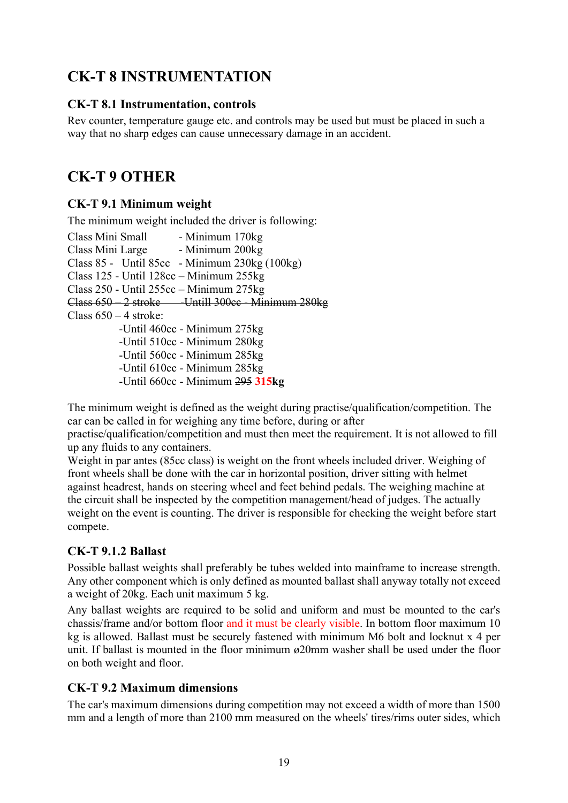## <span id="page-18-0"></span>**CK-T 8 INSTRUMENTATION**

## <span id="page-18-1"></span>**CK-T 8.1 Instrumentation, controls**

Rev counter, temperature gauge etc. and controls may be used but must be placed in such a way that no sharp edges can cause unnecessary damage in an accident.

## <span id="page-18-2"></span>**CK-T 9 OTHER**

## <span id="page-18-3"></span>**CK-T 9.1 Minimum weight**

The minimum weight included the driver is following:

Class Mini Small - Minimum 170kg Class Mini Large - Minimum 200kg Class 85 - Until 85cc - Minimum 230kg (100kg) Class 125 - Until 128cc – Minimum 255kg Class 250 - Until 255cc – Minimum 275kg Class 650 – 2 stroke - - Untill 300cc - Minimum 280kg Class  $650 - 4$  stroke: -Until 460cc - Minimum 275kg -Until 510cc - Minimum 280kg -Until 560cc - Minimum 285kg -Until 610cc - Minimum 285kg -Until 660cc - Minimum 295 **315kg**

The minimum weight is defined as the weight during practise/qualification/competition. The car can be called in for weighing any time before, during or after

practise/qualification/competition and must then meet the requirement. It is not allowed to fill up any fluids to any containers.

Weight in par antes (85cc class) is weight on the front wheels included driver. Weighing of front wheels shall be done with the car in horizontal position, driver sitting with helmet against headrest, hands on steering wheel and feet behind pedals. The weighing machine at the circuit shall be inspected by the competition management/head of judges. The actually weight on the event is counting. The driver is responsible for checking the weight before start compete.

## **CK-T 9.1.2 Ballast**

Possible ballast weights shall preferably be tubes welded into mainframe to increase strength. Any other component which is only defined as mounted ballast shall anyway totally not exceed a weight of 20kg. Each unit maximum 5 kg.

Any ballast weights are required to be solid and uniform and must be mounted to the car's chassis/frame and/or bottom floor and it must be clearly visible. In bottom floor maximum 10 kg is allowed. Ballast must be securely fastened with minimum M6 bolt and locknut x 4 per unit. If ballast is mounted in the floor minimum ø20mm washer shall be used under the floor on both weight and floor.

## <span id="page-18-4"></span>**CK-T 9.2 Maximum dimensions**

The car's maximum dimensions during competition may not exceed a width of more than 1500 mm and a length of more than 2100 mm measured on the wheels' tires/rims outer sides, which